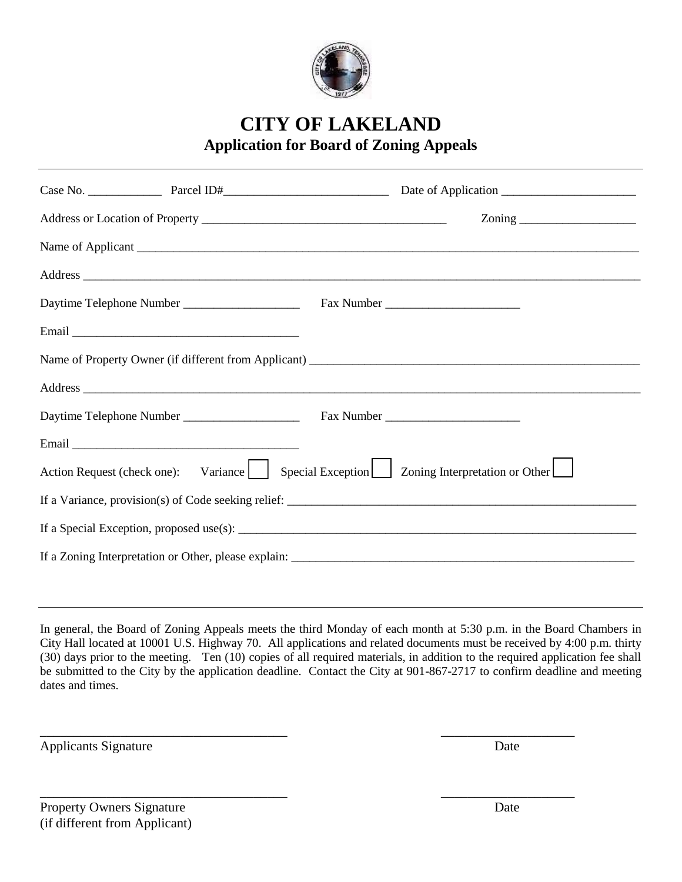

**CITY OF LAKELAND Application for Board of Zoning Appeals**

|                                                                                                                                                                                                                                | $\frac{1}{2}$ $\frac{1}{2}$ $\frac{1}{2}$ $\frac{1}{2}$ $\frac{1}{2}$ $\frac{1}{2}$ $\frac{1}{2}$ $\frac{1}{2}$ $\frac{1}{2}$ $\frac{1}{2}$ $\frac{1}{2}$ $\frac{1}{2}$ $\frac{1}{2}$ $\frac{1}{2}$ $\frac{1}{2}$ $\frac{1}{2}$ $\frac{1}{2}$ $\frac{1}{2}$ $\frac{1}{2}$ $\frac{1}{2}$ $\frac{1}{2}$ $\frac{1}{2}$ |
|--------------------------------------------------------------------------------------------------------------------------------------------------------------------------------------------------------------------------------|---------------------------------------------------------------------------------------------------------------------------------------------------------------------------------------------------------------------------------------------------------------------------------------------------------------------|
|                                                                                                                                                                                                                                |                                                                                                                                                                                                                                                                                                                     |
| Address experiences and the set of the set of the set of the set of the set of the set of the set of the set of the set of the set of the set of the set of the set of the set of the set of the set of the set of the set of  |                                                                                                                                                                                                                                                                                                                     |
|                                                                                                                                                                                                                                |                                                                                                                                                                                                                                                                                                                     |
|                                                                                                                                                                                                                                |                                                                                                                                                                                                                                                                                                                     |
|                                                                                                                                                                                                                                |                                                                                                                                                                                                                                                                                                                     |
| Address experience and the contract of the contract of the contract of the contract of the contract of the contract of the contract of the contract of the contract of the contract of the contract of the contract of the con |                                                                                                                                                                                                                                                                                                                     |
|                                                                                                                                                                                                                                |                                                                                                                                                                                                                                                                                                                     |
|                                                                                                                                                                                                                                |                                                                                                                                                                                                                                                                                                                     |
| Action Request (check one): Variance     Special Exception     Zoning Interpretation or Other                                                                                                                                  |                                                                                                                                                                                                                                                                                                                     |
|                                                                                                                                                                                                                                |                                                                                                                                                                                                                                                                                                                     |
|                                                                                                                                                                                                                                |                                                                                                                                                                                                                                                                                                                     |
|                                                                                                                                                                                                                                |                                                                                                                                                                                                                                                                                                                     |

In general, the Board of Zoning Appeals meets the third Monday of each month at 5:30 p.m. in the Board Chambers in City Hall located at 10001 U.S. Highway 70. All applications and related documents must be received by 4:00 p.m. thirty (30) days prior to the meeting. Ten (10) copies of all required materials, in addition to the required application fee shall be submitted to the City by the application deadline. Contact the City at 901-867-2717 to confirm deadline and meeting dates and times.

\_\_\_\_\_\_\_\_\_\_\_\_\_\_\_\_\_\_\_\_\_\_\_\_\_\_\_\_\_\_\_\_\_\_\_\_\_ \_\_\_\_\_\_\_\_\_\_\_\_\_\_\_\_\_\_\_\_

\_\_\_\_\_\_\_\_\_\_\_\_\_\_\_\_\_\_\_\_\_\_\_\_\_\_\_\_\_\_\_\_\_\_\_\_\_ \_\_\_\_\_\_\_\_\_\_\_\_\_\_\_\_\_\_\_\_

Applicants Signature Date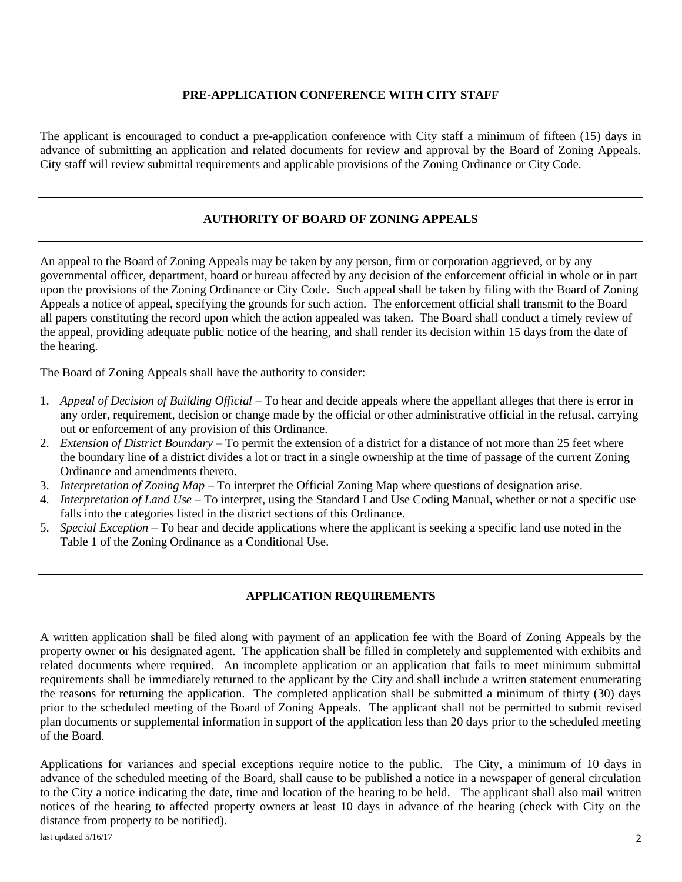## **PRE-APPLICATION CONFERENCE WITH CITY STAFF**

The applicant is encouraged to conduct a pre-application conference with City staff a minimum of fifteen (15) days in advance of submitting an application and related documents for review and approval by the Board of Zoning Appeals. City staff will review submittal requirements and applicable provisions of the Zoning Ordinance or City Code.

## **AUTHORITY OF BOARD OF ZONING APPEALS**

An appeal to the Board of Zoning Appeals may be taken by any person, firm or corporation aggrieved, or by any governmental officer, department, board or bureau affected by any decision of the enforcement official in whole or in part upon the provisions of the Zoning Ordinance or City Code. Such appeal shall be taken by filing with the Board of Zoning Appeals a notice of appeal, specifying the grounds for such action. The enforcement official shall transmit to the Board all papers constituting the record upon which the action appealed was taken. The Board shall conduct a timely review of the appeal, providing adequate public notice of the hearing, and shall render its decision within 15 days from the date of the hearing.

The Board of Zoning Appeals shall have the authority to consider:

- 1. *Appeal of Decision of Building Official* To hear and decide appeals where the appellant alleges that there is error in any order, requirement, decision or change made by the official or other administrative official in the refusal, carrying out or enforcement of any provision of this Ordinance.
- 2. *Extension of District Boundary* To permit the extension of a district for a distance of not more than 25 feet where the boundary line of a district divides a lot or tract in a single ownership at the time of passage of the current Zoning Ordinance and amendments thereto.
- 3. *Interpretation of Zoning Map* To interpret the Official Zoning Map where questions of designation arise.
- 4. *Interpretation of Land Use*  To interpret, using the Standard Land Use Coding Manual, whether or not a specific use falls into the categories listed in the district sections of this Ordinance.
- 5. *Special Exception*  To hear and decide applications where the applicant is seeking a specific land use noted in the Table 1 of the Zoning Ordinance as a Conditional Use.

## **APPLICATION REQUIREMENTS**

A written application shall be filed along with payment of an application fee with the Board of Zoning Appeals by the property owner or his designated agent. The application shall be filled in completely and supplemented with exhibits and related documents where required. An incomplete application or an application that fails to meet minimum submittal requirements shall be immediately returned to the applicant by the City and shall include a written statement enumerating the reasons for returning the application. The completed application shall be submitted a minimum of thirty (30) days prior to the scheduled meeting of the Board of Zoning Appeals. The applicant shall not be permitted to submit revised plan documents or supplemental information in support of the application less than 20 days prior to the scheduled meeting of the Board.

Applications for variances and special exceptions require notice to the public. The City, a minimum of 10 days in advance of the scheduled meeting of the Board, shall cause to be published a notice in a newspaper of general circulation to the City a notice indicating the date, time and location of the hearing to be held. The applicant shall also mail written notices of the hearing to affected property owners at least 10 days in advance of the hearing (check with City on the distance from property to be notified).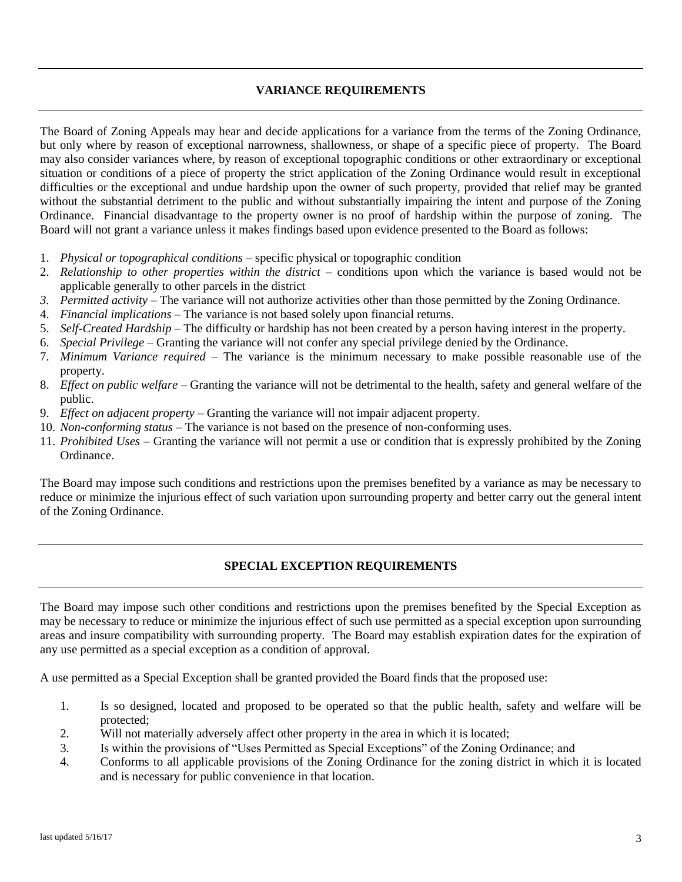### **VARIANCE REQUIREMENTS**

The Board of Zoning Appeals may hear and decide applications for a variance from the terms of the Zoning Ordinance, but only where by reason of exceptional narrowness, shallowness, or shape of a specific piece of property. The Board may also consider variances where, by reason of exceptional topographic conditions or other extraordinary or exceptional situation or conditions of a piece of property the strict application of the Zoning Ordinance would result in exceptional difficulties or the exceptional and undue hardship upon the owner of such property, provided that relief may be granted without the substantial detriment to the public and without substantially impairing the intent and purpose of the Zoning Ordinance. Financial disadvantage to the property owner is no proof of hardship within the purpose of zoning. The Board will not grant a variance unless it makes findings based upon evidence presented to the Board as follows:

- 1. *Physical or topographical conditions* specific physical or topographic condition
- 2. *Relationship to other properties within the district* conditions upon which the variance is based would not be applicable generally to other parcels in the district
- *3. Permitted activity* The variance will not authorize activities other than those permitted by the Zoning Ordinance.
- 4. *Financial implications* The variance is not based solely upon financial returns.
- 5. *Self-Created Hardship* The difficulty or hardship has not been created by a person having interest in the property.
- 6. *Special Privilege* Granting the variance will not confer any special privilege denied by the Ordinance.
- 7. *Minimum Variance required* The variance is the minimum necessary to make possible reasonable use of the property.
- 8. *Effect on public welfare* Granting the variance will not be detrimental to the health, safety and general welfare of the public.
- 9. *Effect on adjacent property* Granting the variance will not impair adjacent property.
- 10. *Non-conforming status* The variance is not based on the presence of non-conforming uses.
- 11. *Prohibited Uses* Granting the variance will not permit a use or condition that is expressly prohibited by the Zoning Ordinance.

The Board may impose such conditions and restrictions upon the premises benefited by a variance as may be necessary to reduce or minimize the injurious effect of such variation upon surrounding property and better carry out the general intent of the Zoning Ordinance.

#### **SPECIAL EXCEPTION REQUIREMENTS**

The Board may impose such other conditions and restrictions upon the premises benefited by the Special Exception as may be necessary to reduce or minimize the injurious effect of such use permitted as a special exception upon surrounding areas and insure compatibility with surrounding property. The Board may establish expiration dates for the expiration of any use permitted as a special exception as a condition of approval.

A use permitted as a Special Exception shall be granted provided the Board finds that the proposed use:

- 1. Is so designed, located and proposed to be operated so that the public health, safety and welfare will be protected;
- 2. Will not materially adversely affect other property in the area in which it is located;
- 3. Is within the provisions of "Uses Permitted as Special Exceptions" of the Zoning Ordinance; and
- 4. Conforms to all applicable provisions of the Zoning Ordinance for the zoning district in which it is located and is necessary for public convenience in that location.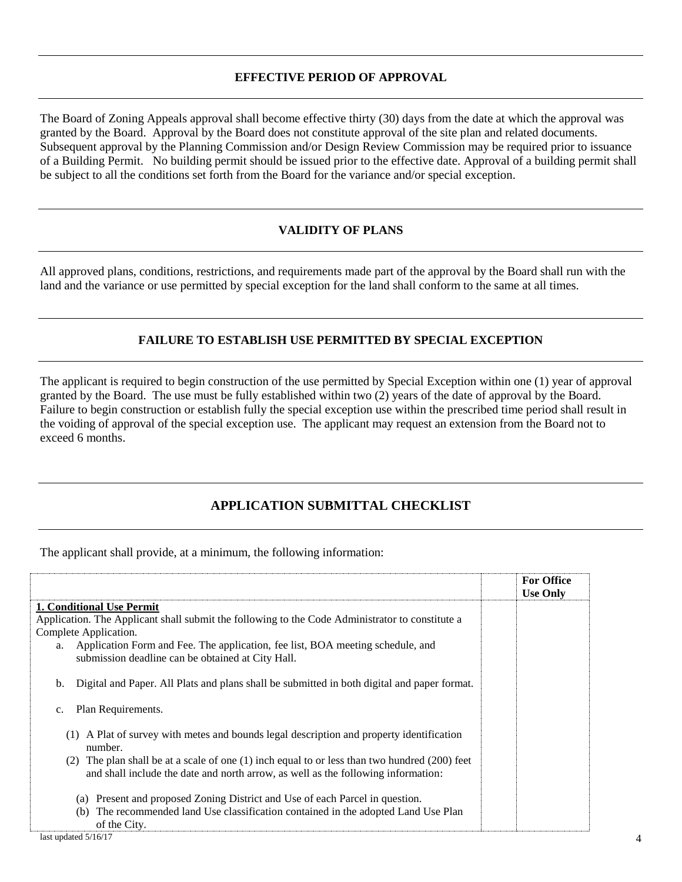## **EFFECTIVE PERIOD OF APPROVAL**

The Board of Zoning Appeals approval shall become effective thirty (30) days from the date at which the approval was granted by the Board. Approval by the Board does not constitute approval of the site plan and related documents. Subsequent approval by the Planning Commission and/or Design Review Commission may be required prior to issuance of a Building Permit. No building permit should be issued prior to the effective date. Approval of a building permit shall be subject to all the conditions set forth from the Board for the variance and/or special exception.

## **VALIDITY OF PLANS**

All approved plans, conditions, restrictions, and requirements made part of the approval by the Board shall run with the land and the variance or use permitted by special exception for the land shall conform to the same at all times.

## **FAILURE TO ESTABLISH USE PERMITTED BY SPECIAL EXCEPTION**

The applicant is required to begin construction of the use permitted by Special Exception within one (1) year of approval granted by the Board. The use must be fully established within two (2) years of the date of approval by the Board. Failure to begin construction or establish fully the special exception use within the prescribed time period shall result in the voiding of approval of the special exception use. The applicant may request an extension from the Board not to exceed 6 months.

# **APPLICATION SUBMITTAL CHECKLIST**

The applicant shall provide, at a minimum, the following information:

|                                                                                                                                                                                           | <b>For Office</b><br><b>Use Only</b> |
|-------------------------------------------------------------------------------------------------------------------------------------------------------------------------------------------|--------------------------------------|
| 1. Conditional Use Permit                                                                                                                                                                 |                                      |
| Application. The Applicant shall submit the following to the Code Administrator to constitute a                                                                                           |                                      |
| Complete Application.                                                                                                                                                                     |                                      |
| Application Form and Fee. The application, fee list, BOA meeting schedule, and<br>a.<br>submission deadline can be obtained at City Hall.                                                 |                                      |
| Digital and Paper. All Plats and plans shall be submitted in both digital and paper format.<br>b.                                                                                         |                                      |
| Plan Requirements.<br>$\mathbf{c}$ .                                                                                                                                                      |                                      |
| A Plat of survey with metes and bounds legal description and property identification<br>(1)<br>number.                                                                                    |                                      |
| The plan shall be at a scale of one $(1)$ inch equal to or less than two hundred $(200)$ feet<br>(2)<br>and shall include the date and north arrow, as well as the following information: |                                      |
| (a) Present and proposed Zoning District and Use of each Parcel in question.                                                                                                              |                                      |
| The recommended land Use classification contained in the adopted Land Use Plan<br>(b)<br>of the City.                                                                                     |                                      |
| last updated $5/16/17$                                                                                                                                                                    |                                      |